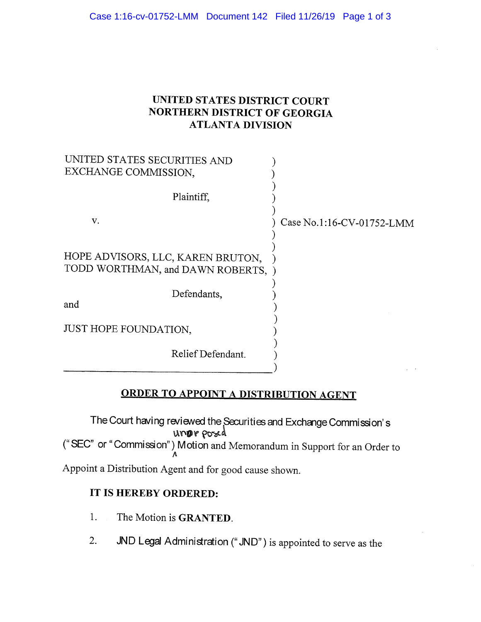## UNITED STATES DISTRICT COURT NORTHERN DISTRICT OF GEORGIA ATLANTA DIVISION

| UNITED STATES SECURITIES AND<br>EXCHANGE COMMISSION,                  |                           |
|-----------------------------------------------------------------------|---------------------------|
| Plaintiff,                                                            |                           |
| V.                                                                    | Case No.1:16-CV-01752-LMM |
| HOPE ADVISORS, LLC, KAREN BRUTON,<br>TODD WORTHMAN, and DAWN ROBERTS, |                           |
| Defendants,<br>and                                                    |                           |
| JUST HOPE FOUNDATION,                                                 |                           |
| Relief Defendant.                                                     |                           |

## ORDER TO APPOINT A DISTRIBUTION AGENT

The Court having reviewed the Securities and Exchange Commission's unor pord ("SEC" or "Commission") Motion and Memorandum in Support for an Order to A

Appoint a Distribution Agent and for good cause shown.

## IT IS HEREBY ORDERED:

- 1. The Motion is GRANTED.
- 2. JND Legal Administration (" JND") is appointed to serve as the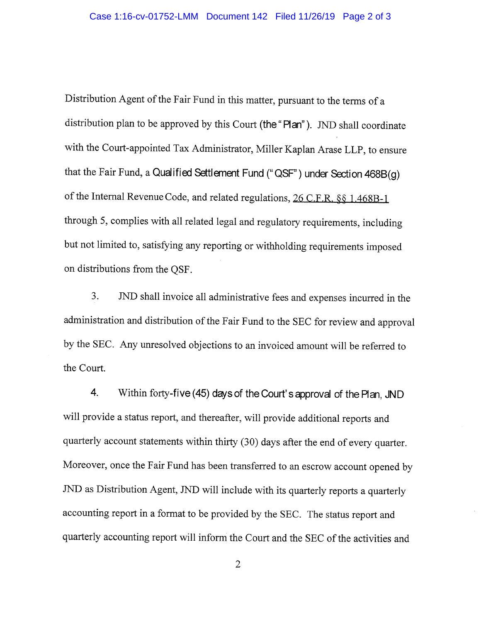Distribution Agent of the Fair Fund in this matter, pursuant to the terms of a distribution plan to be approved by this Court (the "Plan"). JND shall coordinate with the Court-appointed Tax Administrator, Miller Kaplan Arase LLP, to ensure that the Fair Fund, a Qualified Settlement Fund (" QSF" ) under Section 468B(g) of the Internal Revenue Code, and related regulations, 26 C.F.R. §§ 1.468B-1 through 5, complies with all related legal and regulatory requirements, including but not limited to, satisfying any reporting or withholding requirements imposed on distributions from the QSF.

3. JND shall invoice all administrative fees and expenses incurred in the administration and distribution of the Fair Fund to the SEC for review and approval by the SEC. Any unresolved objections to an invoiced amount will be referred to the Court.

4. Within forty-five (45) days of the Court's approval of the Plan, JND will provide a status report, and thereafter, will provide additional reports and quarterly account statements within thirty (30) days after the end of every quarter. Moreover, once the Fair Fund has been transferred to an escrow account opened by JND as Distribution Agent, JND will include with its quarterly reports a quarterly accounting report in a format to be provided by the SEC. The status report and quarterly accounting report will inform the Court and the SEC of the activities and

 $\overline{2}$